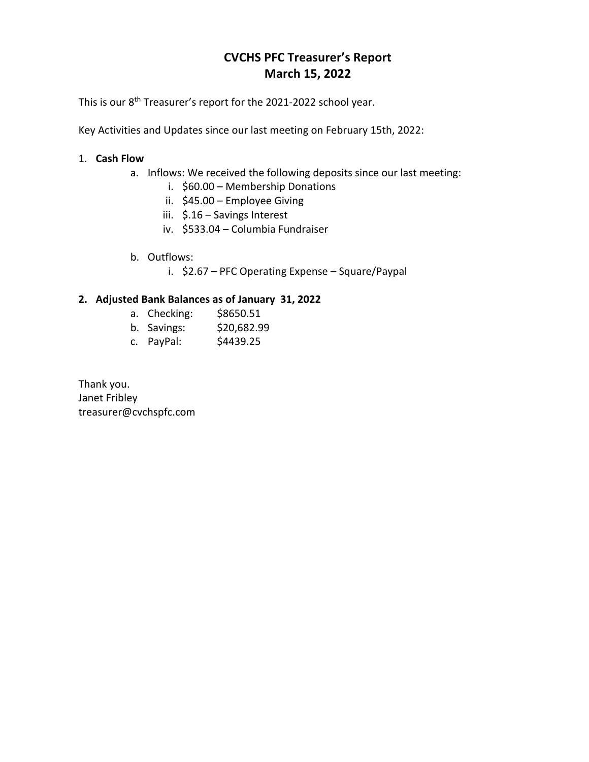# **CVCHS PFC Treasurer's Report March 15, 2022**

This is our 8<sup>th</sup> Treasurer's report for the 2021-2022 school year.

Key Activities and Updates since our last meeting on February 15th, 2022:

### 1. **Cash Flow**

- a. Inflows: We received the following deposits since our last meeting:
	- i. \$60.00 Membership Donations
	- ii. \$45.00 Employee Giving
	- iii. \$.16 Savings Interest
	- iv. \$533.04 Columbia Fundraiser
- b. Outflows:
	- i. \$2.67 PFC Operating Expense Square/Paypal

## **2. Adjusted Bank Balances as of January 31, 2022**

- a. Checking: \$8650.51
- b. Savings: \$20,682.99
- c. PayPal: \$4439.25

Thank you. Janet Fribley treasurer@cvchspfc.com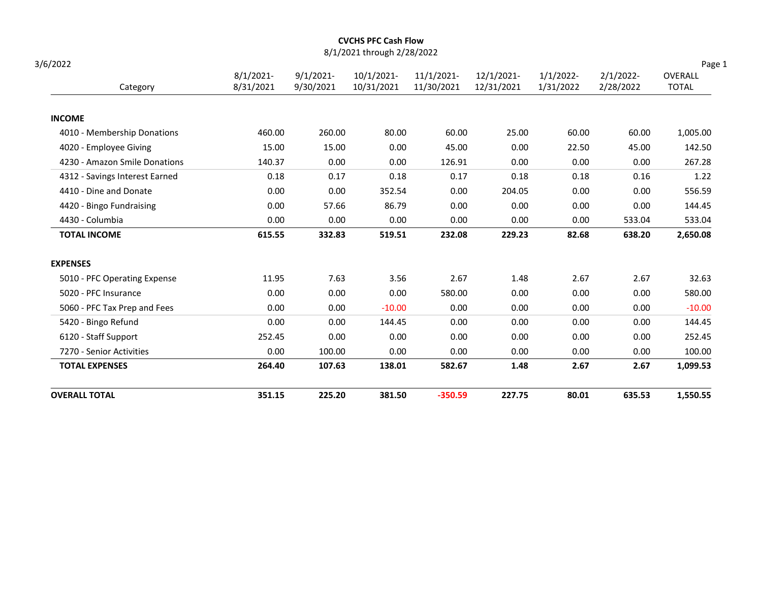| <b>OVERALL TOTAL</b>                                     | 351.15       | 225.20        | 381.50                     | $-350.59$    | 227.75         | 80.01        | 635.53       | 1,550.55         |
|----------------------------------------------------------|--------------|---------------|----------------------------|--------------|----------------|--------------|--------------|------------------|
| <b>TOTAL EXPENSES</b>                                    | 264.40       | 107.63        | 138.01                     | 582.67       | 1.48           | 2.67         | 2.67         | 1,099.53         |
| 7270 - Senior Activities                                 | 0.00         | 100.00        | 0.00                       | 0.00         | 0.00           | 0.00         | 0.00         | 100.00           |
| 6120 - Staff Support                                     | 252.45       | 0.00          | 0.00                       | 0.00         | 0.00           | 0.00         | 0.00         | 252.45           |
| 5420 - Bingo Refund                                      | 0.00         | 0.00          | 144.45                     | 0.00         | 0.00           | 0.00         | 0.00         | 144.45           |
| 5060 - PFC Tax Prep and Fees                             | 0.00         | 0.00          | $-10.00$                   | 0.00         | 0.00           | 0.00         | 0.00         | $-10.00$         |
| 5020 - PFC Insurance                                     | 0.00         | 0.00          | 0.00                       | 580.00       | 0.00           | 0.00         | 0.00         | 580.00           |
| <b>EXPENSES</b><br>5010 - PFC Operating Expense          | 11.95        | 7.63          | 3.56                       | 2.67         | 1.48           | 2.67         | 2.67         | 32.63            |
|                                                          |              |               |                            |              |                |              |              |                  |
| <b>TOTAL INCOME</b>                                      | 615.55       | 332.83        | 519.51                     | 232.08       | 229.23         | 82.68        | 638.20       | 2,650.08         |
| 4430 - Columbia                                          | 0.00         | 0.00          | 0.00                       | 0.00         | 0.00           | 0.00         | 533.04       | 533.04           |
| 4420 - Bingo Fundraising                                 | 0.00<br>0.00 | 0.00<br>57.66 | 352.54<br>86.79            | 0.00<br>0.00 | 204.05<br>0.00 | 0.00<br>0.00 | 0.00<br>0.00 | 556.59<br>144.45 |
| 4312 - Savings Interest Earned<br>4410 - Dine and Donate | 0.18         | 0.17          | 0.18                       | 0.17         | 0.18           | 0.18         | 0.16         | 1.22             |
| 4230 - Amazon Smile Donations                            | 140.37       | 0.00          | 0.00                       | 126.91       | 0.00           | 0.00         | 0.00         | 267.28           |
| 4020 - Employee Giving                                   | 15.00        | 15.00         | 0.00                       | 45.00        | 0.00           | 22.50        | 45.00        | 142.50           |
| 4010 - Membership Donations                              | 460.00       | 260.00        | 80.00                      | 60.00        | 25.00          | 60.00        | 60.00        | 1,005.00         |
| <b>INCOME</b>                                            |              |               |                            |              |                |              |              |                  |
| Category                                                 | 8/31/2021    | 9/30/2021     | 10/31/2021                 | 11/30/2021   | 12/31/2021     | 1/31/2022    | 2/28/2022    | <b>TOTAL</b>     |
|                                                          | $8/1/2021$ - | $9/1/2021$ -  | 10/1/2021-                 | 11/1/2021-   | 12/1/2021-     | $1/1/2022$ - | $2/1/2022$ - | OVERALL          |
| 3/6/2022                                                 |              |               | 8/1/2021 through 2/28/2022 |              |                |              |              | Page 1           |

#### CVCHS PFC Cash Flow 8/1/2021 through 2/28/2022